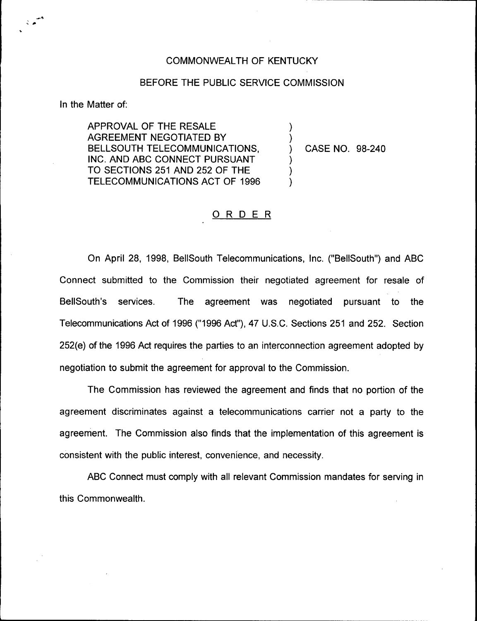## COMMONWEALTH OF KENTUCKY

## BEFORE THE PUBLIC SERVICE COMMISSION

)

)

) ) )

In the Matter of:

تم ج

APPROVAL OF THE RESALE AGREEMENT NEGOTIATED BY BELLSOUTH TELECOMMUNICATIONS, INC. AND ABC CONNECT PURSUANT TO SECTIONS 251 AND 252 OF THE TELECOMMUNICATIONS ACT OF 1996

) CASE NO. 98-240

## ORDER

On April 28, 1998, BellSouth Telecommunications, Inc. ("BellSouth") and ABC Connect submitted to the Commission their negotiated agreement for resale of BellSouth's services. The agreement was negotiated pursuant to the Telecommunications Act of 1996 ("1996Act"), 47 U.S.C. Sections 251 and 252. Section 252(e) of the 1996 Act requires the parties to an interconnection agreement adopted by negotiation to submit the agreement for approval to the Commission.

The Commission has reviewed the agreement and finds that no portion of the agreement discriminates against a telecommunications carrier not a party to the agreement. The Commission also finds that the implementation of this agreement is consistent with the public interest, convenience, and necessity.

ABC Connect must comply with all relevant Commission mandates for serving in this Commonwealth.